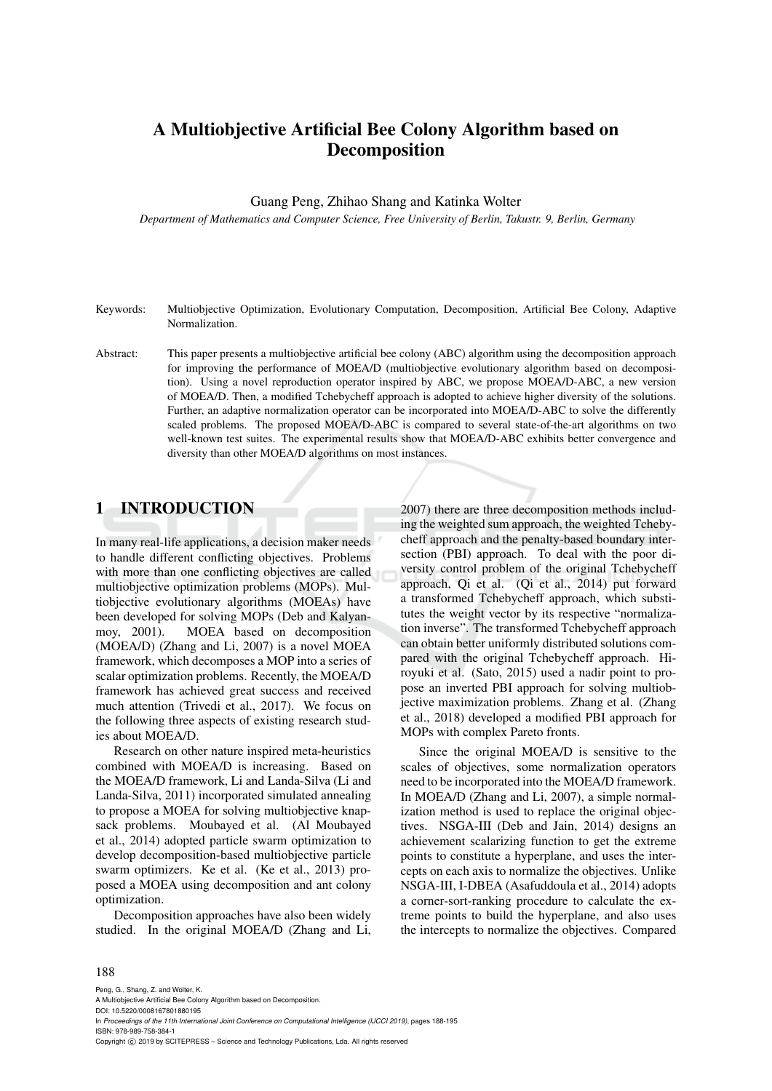# A Multiobjective Artificial Bee Colony Algorithm based on Decomposition

Guang Peng, Zhihao Shang and Katinka Wolter

*Department of Mathematics and Computer Science, Free University of Berlin, Takustr. 9, Berlin, Germany*

- Keywords: Multiobjective Optimization, Evolutionary Computation, Decomposition, Artificial Bee Colony, Adaptive Normalization.
- Abstract: This paper presents a multiobjective artificial bee colony (ABC) algorithm using the decomposition approach for improving the performance of MOEA/D (multiobjective evolutionary algorithm based on decomposition). Using a novel reproduction operator inspired by ABC, we propose MOEA/D-ABC, a new version of MOEA/D. Then, a modified Tchebycheff approach is adopted to achieve higher diversity of the solutions. Further, an adaptive normalization operator can be incorporated into MOEA/D-ABC to solve the differently scaled problems. The proposed MOEA/D-ABC is compared to several state-of-the-art algorithms on two well-known test suites. The experimental results show that MOEA/D-ABC exhibits better convergence and diversity than other MOEA/D algorithms on most instances.

## 1 INTRODUCTION

In many real-life applications, a decision maker needs to handle different conflicting objectives. Problems with more than one conflicting objectives are called multiobjective optimization problems (MOPs). Multiobjective evolutionary algorithms (MOEAs) have been developed for solving MOPs (Deb and Kalyanmoy, 2001). MOEA based on decomposition (MOEA/D) (Zhang and Li, 2007) is a novel MOEA framework, which decomposes a MOP into a series of scalar optimization problems. Recently, the MOEA/D framework has achieved great success and received much attention (Trivedi et al., 2017). We focus on the following three aspects of existing research studies about MOEA/D.

Research on other nature inspired meta-heuristics combined with MOEA/D is increasing. Based on the MOEA/D framework, Li and Landa-Silva (Li and Landa-Silva, 2011) incorporated simulated annealing to propose a MOEA for solving multiobjective knapsack problems. Moubayed et al. (Al Moubayed et al., 2014) adopted particle swarm optimization to develop decomposition-based multiobjective particle swarm optimizers. Ke et al. (Ke et al., 2013) proposed a MOEA using decomposition and ant colony optimization.

Decomposition approaches have also been widely studied. In the original MOEA/D (Zhang and Li, 2007) there are three decomposition methods including the weighted sum approach, the weighted Tchebycheff approach and the penalty-based boundary intersection (PBI) approach. To deal with the poor diversity control problem of the original Tchebycheff approach, Qi et al. (Qi et al., 2014) put forward a transformed Tchebycheff approach, which substitutes the weight vector by its respective "normalization inverse". The transformed Tchebycheff approach can obtain better uniformly distributed solutions compared with the original Tchebycheff approach. Hiroyuki et al. (Sato, 2015) used a nadir point to propose an inverted PBI approach for solving multiobjective maximization problems. Zhang et al. (Zhang et al., 2018) developed a modified PBI approach for MOPs with complex Pareto fronts.

Since the original MOEA/D is sensitive to the scales of objectives, some normalization operators need to be incorporated into the MOEA/D framework. In MOEA/D (Zhang and Li, 2007), a simple normalization method is used to replace the original objectives. NSGA-III (Deb and Jain, 2014) designs an achievement scalarizing function to get the extreme points to constitute a hyperplane, and uses the intercepts on each axis to normalize the objectives. Unlike NSGA-III, I-DBEA (Asafuddoula et al., 2014) adopts a corner-sort-ranking procedure to calculate the extreme points to build the hyperplane, and also uses the intercepts to normalize the objectives. Compared

#### 188

Peng, G., Shang, Z. and Wolter, K. A Multiobjective Artificial Bee Colony Algorithm based on Decomposition. DOI: 10.5220/0008167801880195 In *Proceedings of the 11th International Joint Conference on Computational Intelligence (IJCCI 2019)*, pages 188-195 ISBN: 978-989-758-384-1 Copyright (C) 2019 by SCITEPRESS - Science and Technology Publications, Lda. All rights reserved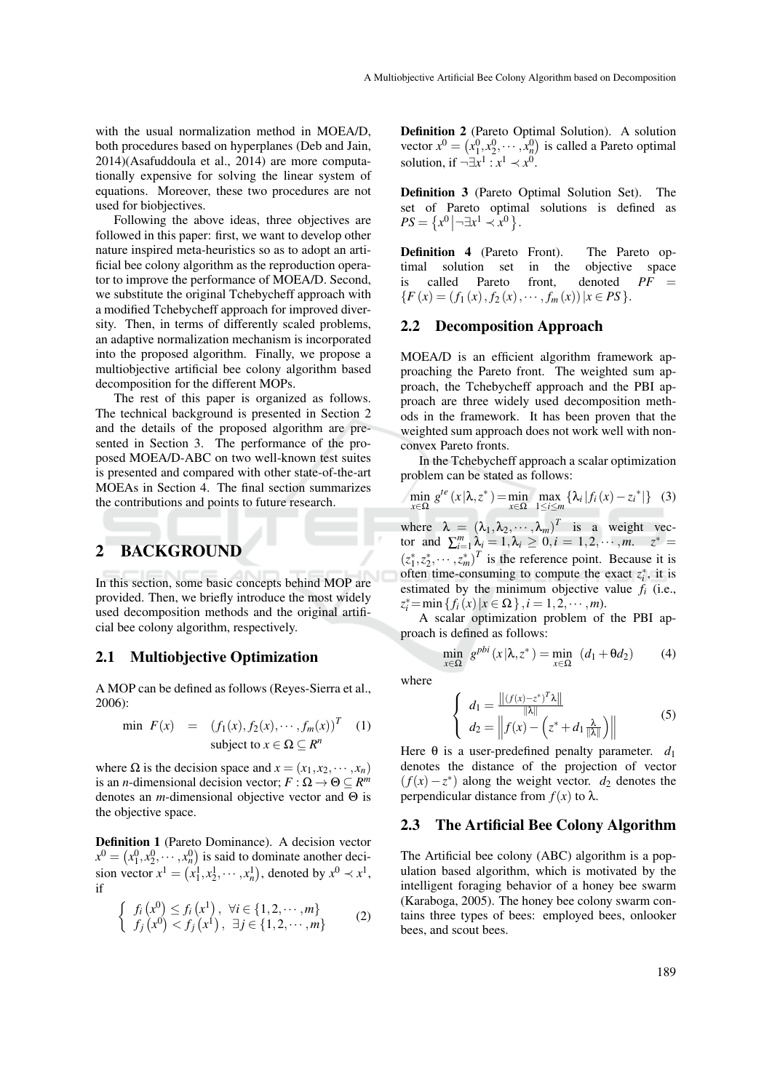with the usual normalization method in MOEA/D, both procedures based on hyperplanes (Deb and Jain, 2014)(Asafuddoula et al., 2014) are more computationally expensive for solving the linear system of equations. Moreover, these two procedures are not used for biobjectives.

Following the above ideas, three objectives are followed in this paper: first, we want to develop other nature inspired meta-heuristics so as to adopt an artificial bee colony algorithm as the reproduction operator to improve the performance of MOEA/D. Second, we substitute the original Tchebycheff approach with a modified Tchebycheff approach for improved diversity. Then, in terms of differently scaled problems, an adaptive normalization mechanism is incorporated into the proposed algorithm. Finally, we propose a multiobjective artificial bee colony algorithm based decomposition for the different MOPs.

The rest of this paper is organized as follows. The technical background is presented in Section 2 and the details of the proposed algorithm are presented in Section 3. The performance of the proposed MOEA/D-ABC on two well-known test suites is presented and compared with other state-of-the-art MOEAs in Section 4. The final section summarizes the contributions and points to future research.

## 2 BACKGROUND

In this section, some basic concepts behind MOP are provided. Then, we briefly introduce the most widely used decomposition methods and the original artificial bee colony algorithm, respectively.

### 2.1 Multiobjective Optimization

A MOP can be defined as follows (Reyes-Sierra et al., 2006):

$$
\min \ F(x) = (f_1(x), f_2(x), \cdots, f_m(x))^T \quad (1)
$$
\n
$$
\text{subject to } x \in \Omega \subseteq R^n
$$

where  $\Omega$  is the decision space and  $x = (x_1, x_2, \dots, x_n)$ is an *n*-dimensional decision vector;  $F : \Omega \to \Theta \subseteq R^m$ denotes an *m*-dimensional objective vector and Θ is the objective space.

Definition 1 (Pareto Dominance). A decision vector  $x^0 = (x_1^0, x_2^0, \dots, x_n^0)$  is said to dominate another decision vector  $x^1 = (x_1^1, x_2^1, \dots, x_n^1)$ , denoted by  $x^0 \prec x^1$ , if

$$
\begin{cases} f_i(x^0) \le f_i(x^1), \ \forall i \in \{1, 2, \cdots, m\} \\ f_j(x^0) < f_j(x^1), \ \exists j \in \{1, 2, \cdots, m\} \end{cases} \tag{2}
$$

Definition 2 (Pareto Optimal Solution). A solution vector  $x^0 = (x_1^0, x_2^0, \dots, x_n^0)$  is called a Pareto optimal solution, if  $\neg \exists x^1 : x^1 \prec x^0$ .

Definition 3 (Pareto Optimal Solution Set). The set of Pareto optimal solutions is defined as  $PS = \{x^0 | \neg \exists x^1 \prec x^0\}.$ 

Definition 4 (Pareto Front). The Pareto optimal solution set in the objective space is called Pareto front, denoted *PF* =  ${F(x) = (f_1(x), f_2(x), \cdots, f_m(x)) | x \in PS}.$ 

#### 2.2 Decomposition Approach

MOEA/D is an efficient algorithm framework approaching the Pareto front. The weighted sum approach, the Tchebycheff approach and the PBI approach are three widely used decomposition methods in the framework. It has been proven that the weighted sum approach does not work well with nonconvex Pareto fronts.

In the Tchebycheff approach a scalar optimization problem can be stated as follows:

$$
\min_{x \in \Omega} g^{te}(x|\lambda, z^*) = \min_{x \in \Omega} \max_{1 \le i \le m} {\lambda_i |f_i(x) - z_i^*|}
$$
 (3)

where  $\lambda = (\lambda_1, \lambda_2, \cdots, \lambda_m)^T$  is a weight vector and  $\sum_{i=1}^{m} \lambda_i = 1, \lambda_i \ge 0, i = 1, 2, \cdots, m$ .  $z^* =$  $(z_1^*, z_2^*, \dots, z_m^*)^T$  is the reference point. Because it is often time-consuming to compute the exact  $z_i^*$ , it is estimated by the minimum objective value *f<sup>i</sup>* (i.e.,  $z_i^* = \min \{ f_i(x) | x \in \Omega \}, i = 1, 2, \cdots, m \}.$ 

A scalar optimization problem of the PBI approach is defined as follows:

$$
\min_{x \in \Omega} g^{pbi}(x|\lambda, z^*) = \min_{x \in \Omega} (d_1 + \theta d_2)
$$
 (4)

where

$$
\begin{cases}\n d_1 = \frac{\|(f(x) - z^*)^T \lambda\|}{\|\lambda\|} \\
d_2 = \left\| f(x) - \left( z^* + d_1 \frac{\lambda}{\|\lambda\|} \right) \right\|\n\end{cases} (5)
$$

Here  $\theta$  is a user-predefined penalty parameter.  $d_1$ denotes the distance of the projection of vector  $(f(x) - z^*)$  along the weight vector. *d*<sub>2</sub> denotes the perpendicular distance from *f*(*x*) to λ.

#### 2.3 The Artificial Bee Colony Algorithm

The Artificial bee colony (ABC) algorithm is a population based algorithm, which is motivated by the intelligent foraging behavior of a honey bee swarm (Karaboga, 2005). The honey bee colony swarm contains three types of bees: employed bees, onlooker bees, and scout bees.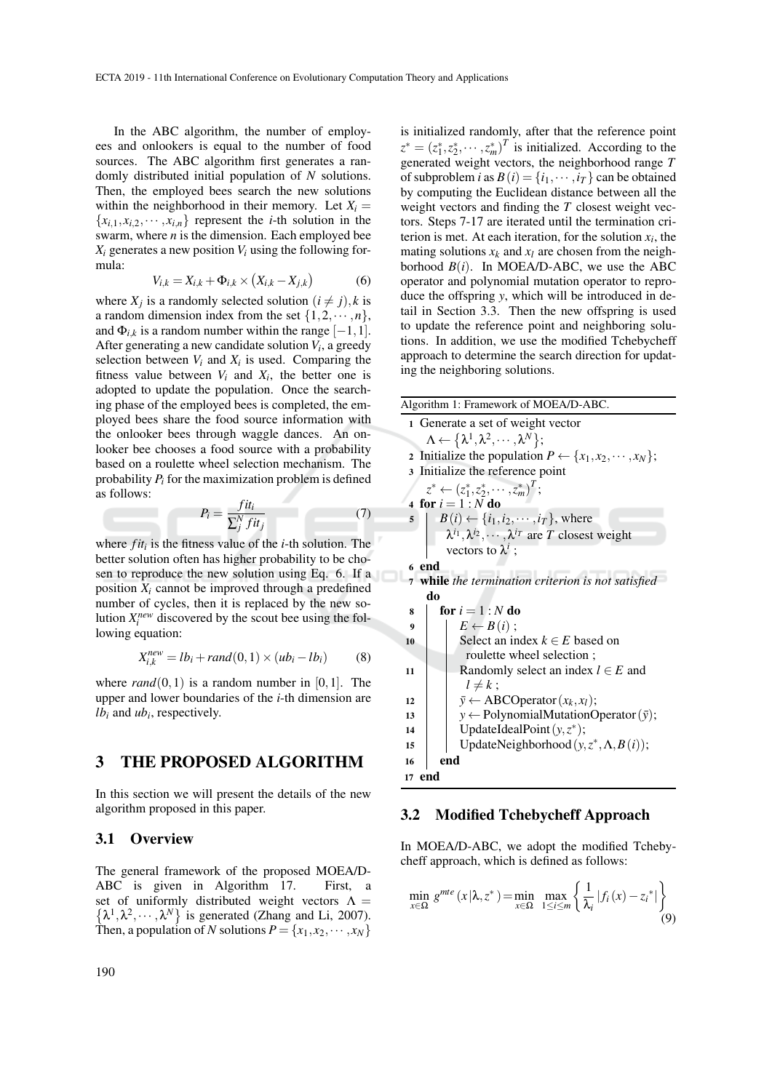In the ABC algorithm, the number of employees and onlookers is equal to the number of food sources. The ABC algorithm first generates a randomly distributed initial population of *N* solutions. Then, the employed bees search the new solutions within the neighborhood in their memory. Let  $X_i =$  ${x_{i,1}, x_{i,2}, \dots, x_{i,n}}$  represent the *i*-th solution in the swarm, where *n* is the dimension. Each employed bee  $X_i$  generates a new position  $V_i$  using the following formula:

$$
V_{i,k} = X_{i,k} + \Phi_{i,k} \times (X_{i,k} - X_{j,k})
$$
 (6)

where  $X_j$  is a randomly selected solution  $(i \neq j)$ , *k* is a random dimension index from the set  $\{1, 2, \dots, n\}$ , and  $\Phi_{i,k}$  is a random number within the range  $[-1,1]$ . After generating a new candidate solution *V<sup>i</sup>* , a greedy selection between  $V_i$  and  $X_i$  is used. Comparing the fitness value between  $V_i$  and  $X_i$ , the better one is adopted to update the population. Once the searching phase of the employed bees is completed, the employed bees share the food source information with the onlooker bees through waggle dances. An onlooker bee chooses a food source with a probability based on a roulette wheel selection mechanism. The probability *P<sup>i</sup>* for the maximization problem is defined as follows:

$$
P_i = \frac{fit_i}{\sum_j^N fit_j} \tag{7}
$$

where *fit<sup>i</sup>* is the fitness value of the *i*-th solution. The better solution often has higher probability to be chosen to reproduce the new solution using Eq. 6. If a position  $X_i$  cannot be improved through a predefined number of cycles, then it is replaced by the new solution  $X_i^{new}$  discovered by the scout bee using the following equation:

$$
X_{i,k}^{new} = lb_i + rand(0,1) \times (ub_i - lb_i)
$$
 (8)

where  $rand(0,1)$  is a random number in [0,1]. The upper and lower boundaries of the *i*-th dimension are *lb<sup>i</sup>* and *ub<sup>i</sup>* , respectively.

### 3 THE PROPOSED ALGORITHM

In this section we will present the details of the new algorithm proposed in this paper.

#### 3.1 Overview

The general framework of the proposed MOEA/D-ABC is given in Algorithm 17. First, a  $\{\lambda^1, \lambda^2, \cdots, \lambda^N\}$  is generated (Zhang and Li, 2007). set of uniformly distributed weight vectors  $\Lambda$  = Then, a population of *N* solutions  $P = \{x_1, x_2, \dots, x_N\}$ 

is initialized randomly, after that the reference point  $z^* = (z_1^*, z_2^*, \cdots, z_m^*)^T$  is initialized. According to the generated weight vectors, the neighborhood range *T* of subproblem *i* as  $B(i) = \{i_1, \dots, i_T\}$  can be obtained by computing the Euclidean distance between all the weight vectors and finding the *T* closest weight vectors. Steps 7-17 are iterated until the termination criterion is met. At each iteration, for the solution  $x_i$ , the mating solutions  $x_k$  and  $x_l$  are chosen from the neighborhood  $B(i)$ . In MOEA/D-ABC, we use the ABC operator and polynomial mutation operator to reproduce the offspring *y*, which will be introduced in detail in Section 3.3. Then the new offspring is used to update the reference point and neighboring solutions. In addition, we use the modified Tchebycheff approach to determine the search direction for updating the neighboring solutions.

| Algorithm 1: Framework of MOEA/D-ABC.                                      |  |  |  |  |  |  |  |  |  |
|----------------------------------------------------------------------------|--|--|--|--|--|--|--|--|--|
| 1 Generate a set of weight vector                                          |  |  |  |  |  |  |  |  |  |
| $\Lambda \leftarrow {\lambda^1, \lambda^2, \cdots, \lambda^N};$            |  |  |  |  |  |  |  |  |  |
| 2 Initialize the population $P \leftarrow \{x_1, x_2, \cdots, x_N\};$      |  |  |  |  |  |  |  |  |  |
| 3 Initialize the reference point                                           |  |  |  |  |  |  |  |  |  |
| $z^* \leftarrow (z_1^*, z_2^*, \cdots, z_m^*)^T;$                          |  |  |  |  |  |  |  |  |  |
| 4 for $i = 1 : N$ do                                                       |  |  |  |  |  |  |  |  |  |
| $B(i) \leftarrow \{i_1, i_2, \cdots, i_T\}$ , where<br>5 <sup>5</sup>      |  |  |  |  |  |  |  |  |  |
| $\lambda^{i_1}, \lambda^{i_2}, \cdots, \lambda^{i_T}$ are T closest weight |  |  |  |  |  |  |  |  |  |
| vectors to $\lambda^i$ ;                                                   |  |  |  |  |  |  |  |  |  |
| 6 end                                                                      |  |  |  |  |  |  |  |  |  |
| 7 while the termination criterion is not satisfied                         |  |  |  |  |  |  |  |  |  |
| do                                                                         |  |  |  |  |  |  |  |  |  |
| for $i = 1 : N$ do<br>8                                                    |  |  |  |  |  |  |  |  |  |
| $E \leftarrow B(i)$ ;<br>9                                                 |  |  |  |  |  |  |  |  |  |
| Select an index $k \in E$ based on<br>10                                   |  |  |  |  |  |  |  |  |  |
| roulette wheel selection;                                                  |  |  |  |  |  |  |  |  |  |
| Randomly select an index $l \in E$ and<br>11                               |  |  |  |  |  |  |  |  |  |
| $l \neq k$ ;                                                               |  |  |  |  |  |  |  |  |  |
| $\bar{y} \leftarrow$ ABCO perator $(x_k, x_l)$ ;<br>12                     |  |  |  |  |  |  |  |  |  |
| $y \leftarrow$ PolynomialMutationOperator $(\bar{y})$ ;<br>13              |  |  |  |  |  |  |  |  |  |
| UpdateIdealPoint $(y, z^*)$ ;<br>14                                        |  |  |  |  |  |  |  |  |  |
| UpdateNeighborhood $(y, z^*, \Lambda, B(i))$ ;<br>15                       |  |  |  |  |  |  |  |  |  |
| end<br>16                                                                  |  |  |  |  |  |  |  |  |  |
| 17 end                                                                     |  |  |  |  |  |  |  |  |  |

## 3.2 Modified Tchebycheff Approach

In MOEA/D-ABC, we adopt the modified Tchebycheff approach, which is defined as follows:

$$
\min_{x \in \Omega} g^{mte}(x|\lambda, z^*) = \min_{x \in \Omega} \max_{1 \le i \le m} \left\{ \frac{1}{\lambda_i} |f_i(x) - z_i^*| \right\} \tag{9}
$$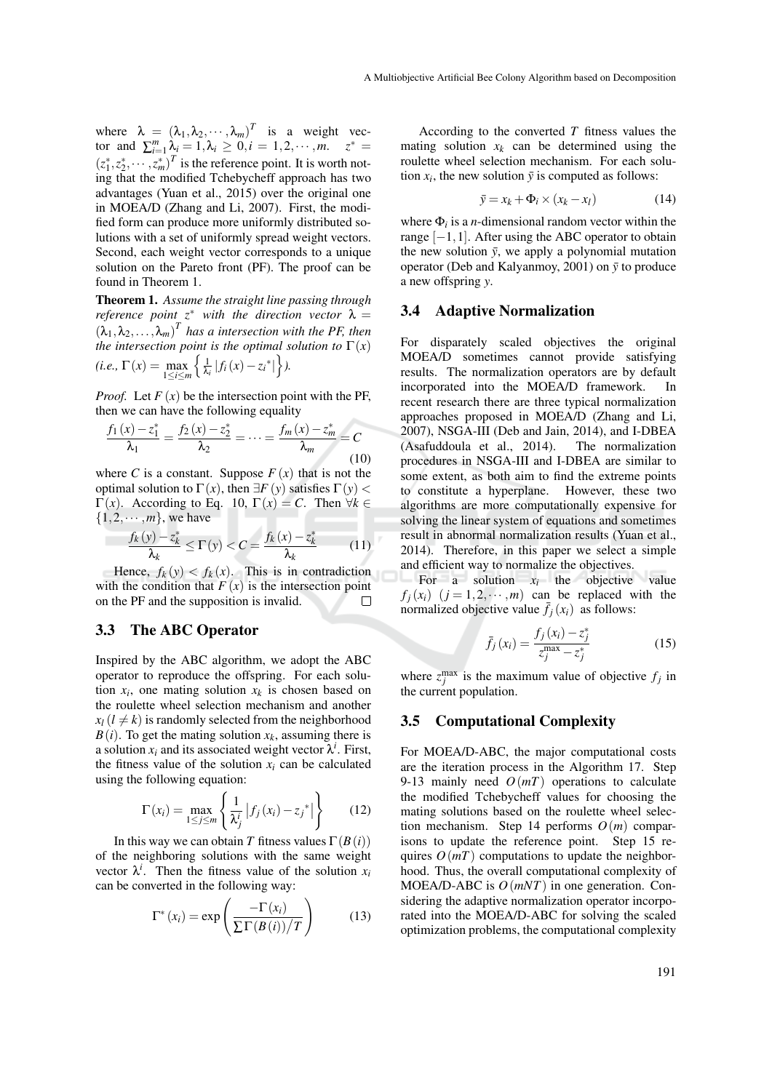where  $\lambda = (\lambda_1, \lambda_2, \cdots, \lambda_m)^T$  is a weight vector and  $\sum_{i=1}^{m} \lambda_i = 1, \lambda_i \ge 0, i = 1, 2, \dots, m$ .  $z^* =$  $(z_1^*, z_2^*, \dots, z_m^*)^T$  is the reference point. It is worth noting that the modified Tchebycheff approach has two advantages (Yuan et al., 2015) over the original one in MOEA/D (Zhang and Li, 2007). First, the modified form can produce more uniformly distributed solutions with a set of uniformly spread weight vectors. Second, each weight vector corresponds to a unique solution on the Pareto front (PF). The proof can be found in Theorem 1.

Theorem 1. *Assume the straight line passing through reference point*  $z^*$  *with the direction vector*  $\lambda =$  $(\lambda_1, \lambda_2, \ldots, \lambda_m)^T$  has a intersection with the PF, then *the intersection point is the optimal solution to*  $\Gamma(x)$  $(i.e., \Gamma(x) = \max_{1 \le i \le m}$  $\int$   $\frac{1}{2}$  $\frac{1}{\lambda_i} |f_i(x) - z_i^*|$ .

*Proof.* Let  $F(x)$  be the intersection point with the PF, then we can have the following equality

$$
\frac{f_1(x) - z_1^*}{\lambda_1} = \frac{f_2(x) - z_2^*}{\lambda_2} = \dots = \frac{f_m(x) - z_m^*}{\lambda_m} = C
$$
\n(10)

where *C* is a constant. Suppose  $F(x)$  that is not the optimal solution to Γ(*x*), then  $\exists F(y)$  satisfies Γ(*y*) <  $Γ(x)$ . According to Eq. 10,  $Γ(x) = C$ . Then  $∀k ∈$  $\{1,2,\cdots,m\}$ , we have

$$
\frac{f_k(y) - z_k^*}{\lambda_k} \le \Gamma(y) < C = \frac{f_k(x) - z_k^*}{\lambda_k} \tag{11}
$$

Hence,  $f_k(y) < f_k(x)$ . This is in contradiction with the condition that  $F(x)$  is the intersection point on the PF and the supposition is invalid.  $\Box$ 

#### 3.3 The ABC Operator

Inspired by the ABC algorithm, we adopt the ABC operator to reproduce the offspring. For each solution  $x_i$ , one mating solution  $x_k$  is chosen based on the roulette wheel selection mechanism and another  $x_l$  ( $l \neq k$ ) is randomly selected from the neighborhood  $B(i)$ . To get the mating solution  $x_k$ , assuming there is a solution  $x_i$  and its associated weight vector  $\lambda^i$ . First, the fitness value of the solution  $x_i$  can be calculated using the following equation:

$$
\Gamma(x_i) = \max_{1 \le j \le m} \left\{ \frac{1}{\lambda_j^i} \left| f_j(x_i) - z_j^* \right| \right\} \qquad (12)
$$

In this way we can obtain *T* fitness values  $\Gamma(B(i))$ of the neighboring solutions with the same weight vector  $\lambda^i$ . Then the fitness value of the solution  $x_i$ can be converted in the following way:

$$
\Gamma^*(x_i) = \exp\left(\frac{-\Gamma(x_i)}{\Sigma \Gamma(B(i))/T}\right) \tag{13}
$$

According to the converted *T* fitness values the mating solution  $x_k$  can be determined using the roulette wheel selection mechanism. For each solution  $x_i$ , the new solution  $\bar{y}$  is computed as follows:

$$
\bar{y} = x_k + \Phi_i \times (x_k - x_l) \tag{14}
$$

where  $\Phi_i$  is a *n*-dimensional random vector within the range  $[-1,1]$ . After using the ABC operator to obtain the new solution  $\bar{y}$ , we apply a polynomial mutation operator (Deb and Kalyanmoy, 2001) on  $\bar{y}$  to produce a new offspring *y*.

#### 3.4 Adaptive Normalization

For disparately scaled objectives the original MOEA/D sometimes cannot provide satisfying results. The normalization operators are by default incorporated into the MOEA/D framework. In recent research there are three typical normalization approaches proposed in MOEA/D (Zhang and Li, 2007), NSGA-III (Deb and Jain, 2014), and I-DBEA (Asafuddoula et al., 2014). The normalization procedures in NSGA-III and I-DBEA are similar to some extent, as both aim to find the extreme points to constitute a hyperplane. However, these two algorithms are more computationally expensive for solving the linear system of equations and sometimes result in abnormal normalization results (Yuan et al., 2014). Therefore, in this paper we select a simple and efficient way to normalize the objectives.

For a solution  $x_i$  the objective value  $f_i(x_i)$   $(j = 1, 2, \dots, m)$  can be replaced with the normalized objective value  $\bar{f}_i(x_i)$  as follows:

$$
\bar{f}_j(x_i) = \frac{f_j(x_i) - z_j^*}{z_j^{\max} - z_j^*}
$$
\n(15)

where  $z_j^{\text{max}}$  is the maximum value of objective  $f_j$  in the current population.

#### 3.5 Computational Complexity

For MOEA/D-ABC, the major computational costs are the iteration process in the Algorithm 17. Step 9-13 mainly need  $O(mT)$  operations to calculate the modified Tchebycheff values for choosing the mating solutions based on the roulette wheel selection mechanism. Step 14 performs *O*(*m*) comparisons to update the reference point. Step 15 requires  $O(mT)$  computations to update the neighborhood. Thus, the overall computational complexity of MOEA/D-ABC is *O*(*mNT*) in one generation. Considering the adaptive normalization operator incorporated into the MOEA/D-ABC for solving the scaled optimization problems, the computational complexity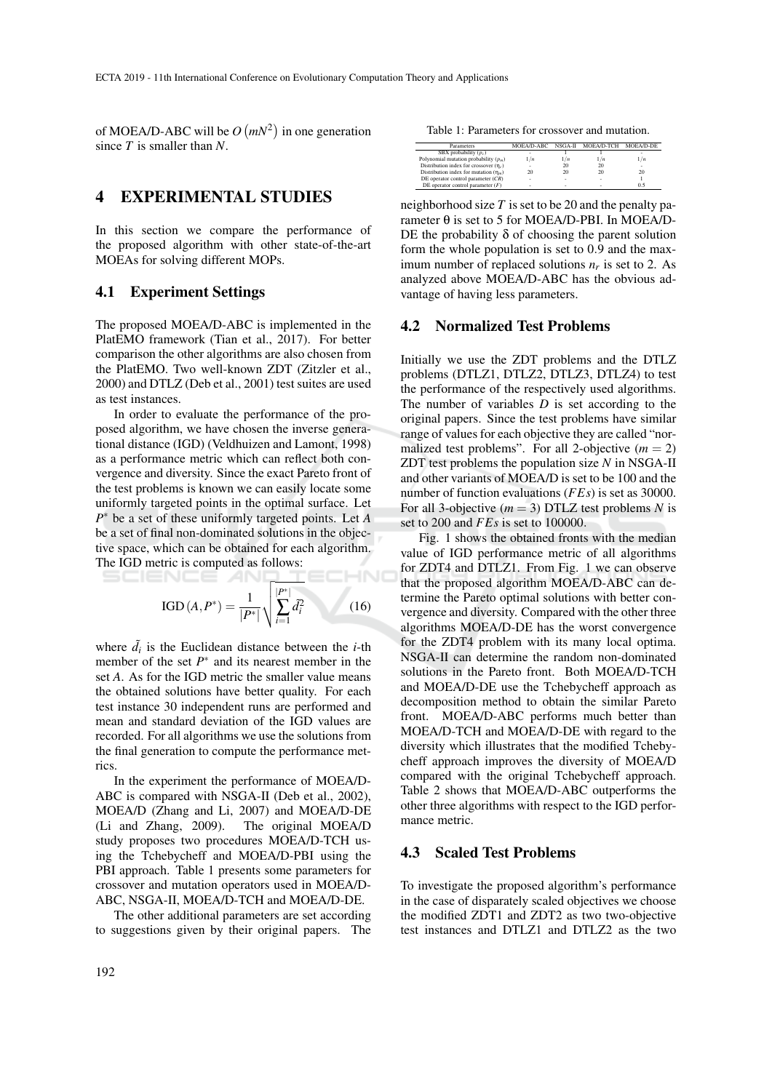of MOEA/D-ABC will be  $O(mN^2)$  in one generation since *T* is smaller than *N*.

### 4 EXPERIMENTAL STUDIES

In this section we compare the performance of the proposed algorithm with other state-of-the-art MOEAs for solving different MOPs.

#### 4.1 Experiment Settings

The proposed MOEA/D-ABC is implemented in the PlatEMO framework (Tian et al., 2017). For better comparison the other algorithms are also chosen from the PlatEMO. Two well-known ZDT (Zitzler et al., 2000) and DTLZ (Deb et al., 2001) test suites are used as test instances.

In order to evaluate the performance of the proposed algorithm, we have chosen the inverse generational distance (IGD) (Veldhuizen and Lamont, 1998) as a performance metric which can reflect both convergence and diversity. Since the exact Pareto front of the test problems is known we can easily locate some uniformly targeted points in the optimal surface. Let *P* <sup>∗</sup> be a set of these uniformly targeted points. Let *A* be a set of final non-dominated solutions in the objective space, which can be obtained for each algorithm. The IGD metric is computed as follows: HND

IGD 
$$
(A, P^*) = \frac{1}{|P^*|} \sqrt{\sum_{i=1}^{|P^*|} \tilde{d}_i^2}
$$
 (16)

where  $\tilde{d}_i$  is the Euclidean distance between the *i*-th member of the set  $P^*$  and its nearest member in the set *A*. As for the IGD metric the smaller value means the obtained solutions have better quality. For each test instance 30 independent runs are performed and mean and standard deviation of the IGD values are recorded. For all algorithms we use the solutions from the final generation to compute the performance metrics.

In the experiment the performance of MOEA/D-ABC is compared with NSGA-II (Deb et al., 2002), MOEA/D (Zhang and Li, 2007) and MOEA/D-DE (Li and Zhang, 2009). The original MOEA/D study proposes two procedures MOEA/D-TCH using the Tchebycheff and MOEA/D-PBI using the PBI approach. Table 1 presents some parameters for crossover and mutation operators used in MOEA/D-ABC, NSGA-II, MOEA/D-TCH and MOEA/D-DE.

The other additional parameters are set according to suggestions given by their original papers. The

Table 1: Parameters for crossover and mutation.

| Parameters                                  | MOEA/D-ABC | NSGA-II | MOEA/D-TCH | MOEA/D-DE |
|---------------------------------------------|------------|---------|------------|-----------|
| SBX probability $(p_c)$                     |            |         |            |           |
| Polynomial mutation probability $(p_m)$     | 1/n        | 1/n     | 1/n        | 1/n       |
| Distribution index for crossover $(\eta_c)$ |            | 20      | 20         |           |
| Distribution index for mutation $(\eta_m)$  | 20         | 20      | 20         | 20        |
| DE operator control parameter $(CR)$        | ۰          | ۰       | ٠          |           |
| DE operator control parameter $(F)$         |            | ۰       | ۰          | 0.5       |

neighborhood size *T* is set to be 20 and the penalty parameter θ is set to 5 for MOEA/D-PBI. In MOEA/D-DE the probability  $\delta$  of choosing the parent solution form the whole population is set to 0.9 and the maximum number of replaced solutions  $n_r$  is set to 2. As analyzed above MOEA/D-ABC has the obvious advantage of having less parameters.

#### 4.2 Normalized Test Problems

Initially we use the ZDT problems and the DTLZ problems (DTLZ1, DTLZ2, DTLZ3, DTLZ4) to test the performance of the respectively used algorithms. The number of variables  $D$  is set according to the original papers. Since the test problems have similar range of values for each objective they are called "normalized test problems". For all 2-objective  $(m = 2)$ ZDT test problems the population size *N* in NSGA-II and other variants of MOEA/D is set to be 100 and the number of function evaluations (*FEs*) is set as 30000. For all 3-objective ( $m = 3$ ) DTLZ test problems *N* is set to 200 and *FEs* is set to 100000.

Fig. 1 shows the obtained fronts with the median value of IGD performance metric of all algorithms for ZDT4 and DTLZ1. From Fig. 1 we can observe that the proposed algorithm MOEA/D-ABC can determine the Pareto optimal solutions with better convergence and diversity. Compared with the other three algorithms MOEA/D-DE has the worst convergence for the ZDT4 problem with its many local optima. NSGA-II can determine the random non-dominated solutions in the Pareto front. Both MOEA/D-TCH and MOEA/D-DE use the Tchebycheff approach as decomposition method to obtain the similar Pareto front. MOEA/D-ABC performs much better than MOEA/D-TCH and MOEA/D-DE with regard to the diversity which illustrates that the modified Tchebycheff approach improves the diversity of MOEA/D compared with the original Tchebycheff approach. Table 2 shows that MOEA/D-ABC outperforms the other three algorithms with respect to the IGD performance metric.

### 4.3 Scaled Test Problems

To investigate the proposed algorithm's performance in the case of disparately scaled objectives we choose the modified ZDT1 and ZDT2 as two two-objective test instances and DTLZ1 and DTLZ2 as the two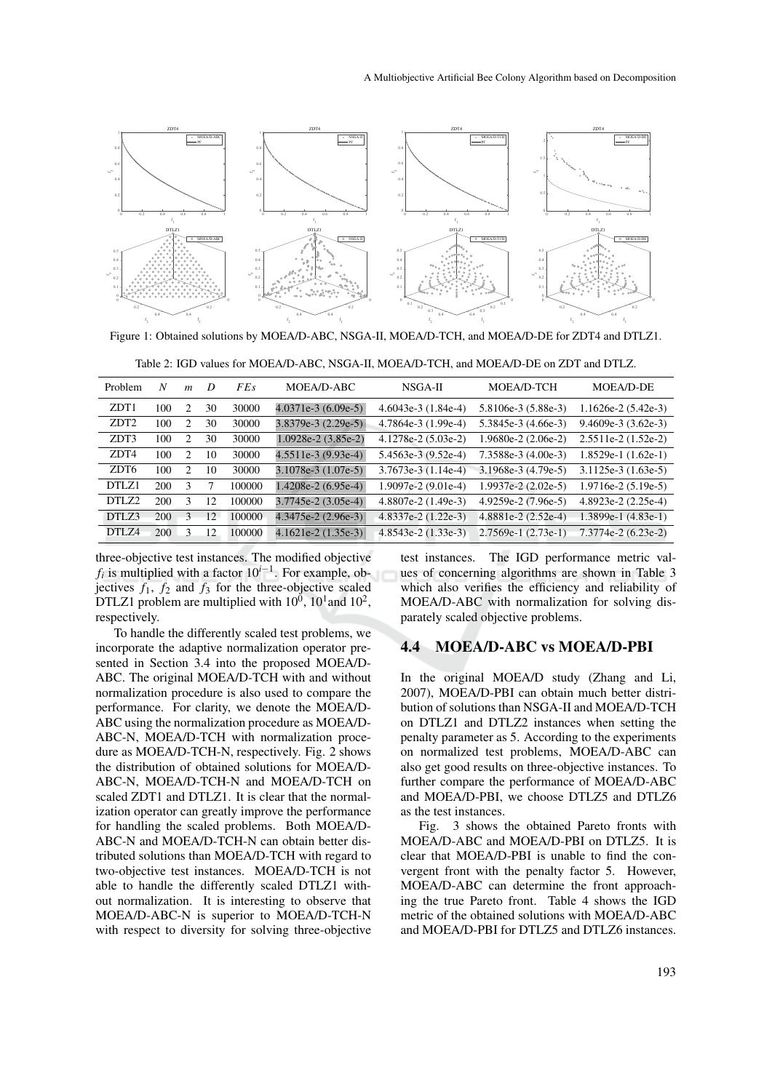

Figure 1: Obtained solutions by MOEA/D-ABC, NSGA-II, MOEA/D-TCH, and MOEA/D-DE for ZDT4 and DTLZ1.

| Problem          | N   | m              | D  | <i>FEs</i> | MOEA/D-ABC            | $NSGA-II$               | MOEA/D-TCH            | MOEA/D-DE             |
|------------------|-----|----------------|----|------------|-----------------------|-------------------------|-----------------------|-----------------------|
| ZDT1             | 100 | 2              | 30 | 30000      | $4.0371e-3(6.09e-5)$  | $4.6043e-3$ $(1.84e-4)$ | 5.8106e-3 (5.88e-3)   | $1.1626e-2(5.42e-3)$  |
| ZDT <sub>2</sub> | 100 | 2              | 30 | 30000      | $3.8379e-3$ (2.29e-5) | $4.7864e-3$ $(1.99e-4)$ | $5.3845e-3(4.66e-3)$  | $9.4609e-3(3.62e-3)$  |
| ZDT3             | 100 | 2              | 30 | 30000      | $1.0928e-2(3.85e-2)$  | $4.1278e-2(5.03e-2)$    | $1.9680e-2(2.06e-2)$  | $2.5511e-2(1.52e-2)$  |
| ZDT4             | 100 | 2              | 10 | 30000      | $4.5511e-3(9.93e-4)$  | $5.4563e-3(9.52e-4)$    | $7.3588e-3(4.00e-3)$  | $1.8529e-1(1.62e-1)$  |
| ZDT <sub>6</sub> | 100 | $\mathfrak{D}$ | 10 | 30000      | $3.1078e-3(1.07e-5)$  | $3.7673e-3$ $(1.14e-4)$ | $3.1968e-3(4.79e-5)$  | $3.1125e-3(1.63e-5)$  |
| DTLZ1            | 200 | 3              | 7  | 100000     | $1.4208e-2(6.95e-4)$  | $1.9097e-2(9.01e-4)$    | $1.9937e-2(2.02e-5)$  | $1.9716e-2(5.19e-5)$  |
| DTLZ2            | 200 | 3              | 12 | 100000     | $3.7745e-2(3.05e-4)$  | $4.8807e-2(1.49e-3)$    | 4.9259e-2 (7.96e-5)   | $4.8923e-2(2.25e-4)$  |
| DTLZ3            | 200 | 3              | 12 | 100000     | 4.3475e-2 (2.96e-3)   | $4.8337e-2(1.22e-3)$    | $4.8881e-2(2.52e-4)$  | $1.3899e-1$ (4.83e-1) |
| DTLZ4            | 200 | 3              | 12 | 100000     | $4.1621e-2(1.35e-3)$  | $4.8543e-2(1.33e-3)$    | $2.7569e-1$ (2.73e-1) | 7.3774e-2 (6.23e-2)   |

three-objective test instances. The modified objective *fi* is multiplied with a factor 10*i*−<sup>1</sup> . For example, objectives  $f_1$ ,  $f_2$  and  $f_3$  for the three-objective scaled DTLZ1 problem are multiplied with  $10^0$ ,  $10^1$  and  $10^2$ , respectively.

To handle the differently scaled test problems, we incorporate the adaptive normalization operator presented in Section 3.4 into the proposed MOEA/D-ABC. The original MOEA/D-TCH with and without normalization procedure is also used to compare the performance. For clarity, we denote the MOEA/D-ABC using the normalization procedure as MOEA/D-ABC-N, MOEA/D-TCH with normalization procedure as MOEA/D-TCH-N, respectively. Fig. 2 shows the distribution of obtained solutions for MOEA/D-ABC-N, MOEA/D-TCH-N and MOEA/D-TCH on scaled ZDT1 and DTLZ1. It is clear that the normalization operator can greatly improve the performance for handling the scaled problems. Both MOEA/D-ABC-N and MOEA/D-TCH-N can obtain better distributed solutions than MOEA/D-TCH with regard to two-objective test instances. MOEA/D-TCH is not able to handle the differently scaled DTLZ1 without normalization. It is interesting to observe that MOEA/D-ABC-N is superior to MOEA/D-TCH-N with respect to diversity for solving three-objective

test instances. The IGD performance metric values of concerning algorithms are shown in Table 3 which also verifies the efficiency and reliability of MOEA/D-ABC with normalization for solving disparately scaled objective problems.

#### 4.4 MOEA/D-ABC vs MOEA/D-PBI

In the original MOEA/D study (Zhang and Li, 2007), MOEA/D-PBI can obtain much better distribution of solutions than NSGA-II and MOEA/D-TCH on DTLZ1 and DTLZ2 instances when setting the penalty parameter as 5. According to the experiments on normalized test problems, MOEA/D-ABC can also get good results on three-objective instances. To further compare the performance of MOEA/D-ABC and MOEA/D-PBI, we choose DTLZ5 and DTLZ6 as the test instances.

Fig. 3 shows the obtained Pareto fronts with MOEA/D-ABC and MOEA/D-PBI on DTLZ5. It is clear that MOEA/D-PBI is unable to find the convergent front with the penalty factor 5. However, MOEA/D-ABC can determine the front approaching the true Pareto front. Table 4 shows the IGD metric of the obtained solutions with MOEA/D-ABC and MOEA/D-PBI for DTLZ5 and DTLZ6 instances.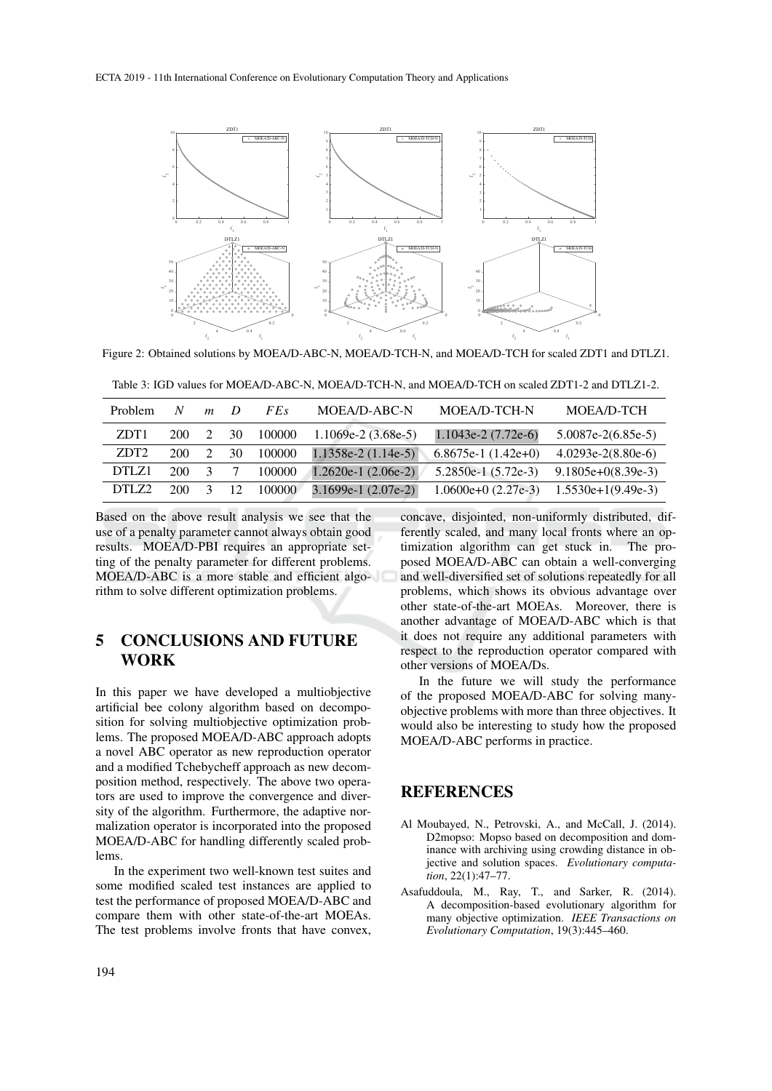

Figure 2: Obtained solutions by MOEA/D-ABC-N, MOEA/D-TCH-N, and MOEA/D-TCH for scaled ZDT1 and DTLZ1.

| <b>Problem</b>   | N   | $\boldsymbol{m}$ | $\overline{D}$ | FE <sub>s</sub> | MOEA/D-ABC-N         | MOEA/D-TCH-N                              | MOEA/D-TCH           |
|------------------|-----|------------------|----------------|-----------------|----------------------|-------------------------------------------|----------------------|
| ZDT <sub>1</sub> | 200 |                  | 30             | 100000          | $1.1069e-2(3.68e-5)$ | $1.1043e-2(7.72e-6)$                      | $5.0087e-2(6.85e-5)$ |
| ZDT <sub>2</sub> | 200 |                  | 30             | 100000          | $1.1358e-2(1.14e-5)$ | $6.8675e-1(1.42e+0)$                      | $4.0293e-2(8.80e-6)$ |
| DTLZ1            | 200 | $\mathcal{R}$    |                | 100000          | $1.2620e-1(2.06e-2)$ | $5.2850e-1$ $(5.72e-3)$                   | $9.1805e+0(8.39e-3)$ |
| DTLZ2            | 200 | $\mathcal{L}$    | 12.            | 100000          | $3.1699e-1(2.07e-2)$ | $1.0600e+0(2.27e-3)$ $1.5530e+1(9.49e-3)$ |                      |

Based on the above result analysis we see that the use of a penalty parameter cannot always obtain good results. MOEA/D-PBI requires an appropriate setting of the penalty parameter for different problems. MOEA/D-ABC is a more stable and efficient algorithm to solve different optimization problems.

## 5 CONCLUSIONS AND FUTURE **WORK**

In this paper we have developed a multiobjective artificial bee colony algorithm based on decomposition for solving multiobjective optimization problems. The proposed MOEA/D-ABC approach adopts a novel ABC operator as new reproduction operator and a modified Tchebycheff approach as new decomposition method, respectively. The above two operators are used to improve the convergence and diversity of the algorithm. Furthermore, the adaptive normalization operator is incorporated into the proposed MOEA/D-ABC for handling differently scaled problems.

In the experiment two well-known test suites and some modified scaled test instances are applied to test the performance of proposed MOEA/D-ABC and compare them with other state-of-the-art MOEAs. The test problems involve fronts that have convex,

concave, disjointed, non-uniformly distributed, differently scaled, and many local fronts where an optimization algorithm can get stuck in. The protimization algorithm can get stuck in. posed MOEA/D-ABC can obtain a well-converging and well-diversified set of solutions repeatedly for all problems, which shows its obvious advantage over other state-of-the-art MOEAs. Moreover, there is another advantage of MOEA/D-ABC which is that it does not require any additional parameters with respect to the reproduction operator compared with other versions of MOEA/Ds.

In the future we will study the performance of the proposed MOEA/D-ABC for solving manyobjective problems with more than three objectives. It would also be interesting to study how the proposed MOEA/D-ABC performs in practice.

## REFERENCES

- Al Moubayed, N., Petrovski, A., and McCall, J. (2014). D2mopso: Mopso based on decomposition and dominance with archiving using crowding distance in objective and solution spaces. *Evolutionary computation*, 22(1):47–77.
- Asafuddoula, M., Ray, T., and Sarker, R. (2014). A decomposition-based evolutionary algorithm for many objective optimization. *IEEE Transactions on Evolutionary Computation*, 19(3):445–460.